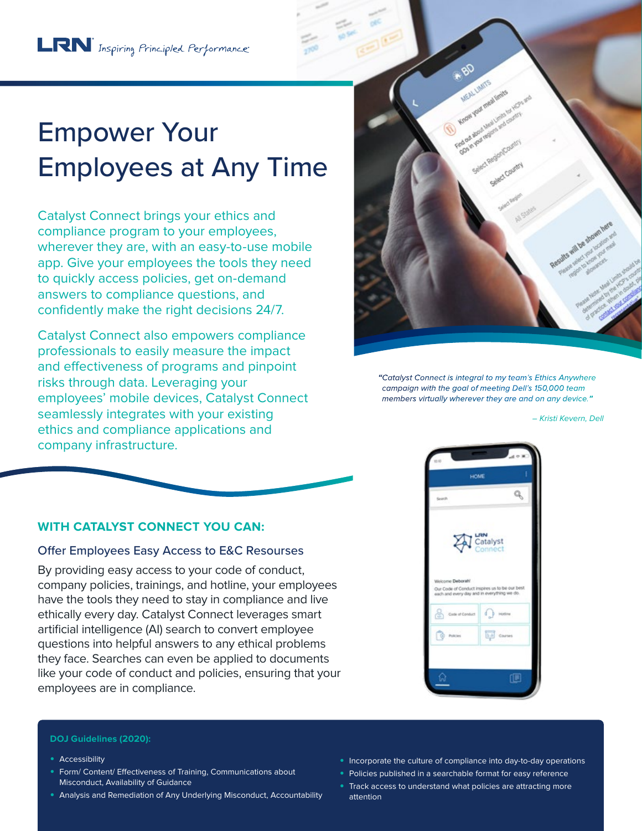# Empower Your Employees at Any Time

Catalyst Connect brings your ethics and compliance program to your employees, wherever they are, with an easy-to-use mobile app. Give your employees the tools they need to quickly access policies, get on-demand answers to compliance questions, and confidently make the right decisions 24/7.

Catalyst Connect also empowers compliance professionals to easily measure the impact and effectiveness of programs and pinpoint risks through data. Leveraging your employees' mobile devices, Catalyst Connect seamlessly integrates with your existing ethics and compliance applications and company infrastructure.



**"**Catalyst Connect is integral to my team's Ethics Anywhere campaign with the goal of meeting Dell's 150,000 team members virtually wherever they are and on any device.**"**

– Kristi Kevern, Dell



# **WITH CATALYST CONNECT YOU CAN:**

#### Offer Employees Easy Access to E&C Resourses

By providing easy access to your code of conduct, company policies, trainings, and hotline, your employees have the tools they need to stay in compliance and live ethically every day. Catalyst Connect leverages smart artificial intelligence (AI) search to convert employee questions into helpful answers to any ethical problems they face. Searches can even be applied to documents like your code of conduct and policies, ensuring that your employees are in compliance.



#### **DOJ Guidelines (2020):**

- **•** Accessibility
- **•** Form/ Content/ Effectiveness of Training, Communications about Misconduct, Availability of Guidance
- **•** Analysis and Remediation of Any Underlying Misconduct, Accountability
- **•** Incorporate the culture of compliance into day-to-day operations
- **•** Policies published in a searchable format for easy reference
- **•** Track access to understand what policies are attracting more attention